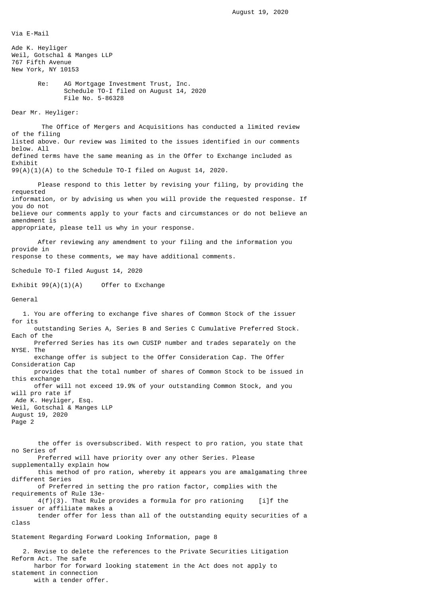Via E-Mail Ade K. Heyliger Weil, Gotschal & Manges LLP 767 Fifth Avenue New York, NY 10153 Re: AG Mortgage Investment Trust, Inc. Schedule TO-I filed on August 14, 2020 File No. 5-86328 Dear Mr. Heyliger: The Office of Mergers and Acquisitions has conducted a limited review of the filing listed above. Our review was limited to the issues identified in our comments below. All defined terms have the same meaning as in the Offer to Exchange included as Exhibit 99(A)(1)(A) to the Schedule TO-I filed on August 14, 2020. Please respond to this letter by revising your filing, by providing the requested information, or by advising us when you will provide the requested response. If you do not believe our comments apply to your facts and circumstances or do not believe an amendment is appropriate, please tell us why in your response. After reviewing any amendment to your filing and the information you provide in response to these comments, we may have additional comments. Schedule TO-I filed August 14, 2020 Exhibit 99(A)(1)(A) Offer to Exchange General 1. You are offering to exchange five shares of Common Stock of the issuer for its outstanding Series A, Series B and Series C Cumulative Preferred Stock. Each of the Preferred Series has its own CUSIP number and trades separately on the NYSE. The exchange offer is subject to the Offer Consideration Cap. The Offer Consideration Cap provides that the total number of shares of Common Stock to be issued in this exchange offer will not exceed 19.9% of your outstanding Common Stock, and you will pro rate if Ade K. Heyliger, Esq. Weil, Gotschal & Manges LLP August 19, 2020 Page 2 the offer is oversubscribed. With respect to pro ration, you state that no Series of Preferred will have priority over any other Series. Please supplementally explain how this method of pro ration, whereby it appears you are amalgamating three different Series of Preferred in setting the pro ration factor, complies with the requirements of Rule 13e-  $4(f)(3)$ . That Rule provides a formula for pro rationing [i]f the issuer or affiliate makes a tender offer for less than all of the outstanding equity securities of a class Statement Regarding Forward Looking Information, page 8 2. Revise to delete the references to the Private Securities Litigation Reform Act. The safe harbor for forward looking statement in the Act does not apply to statement in connection with a tender offer.